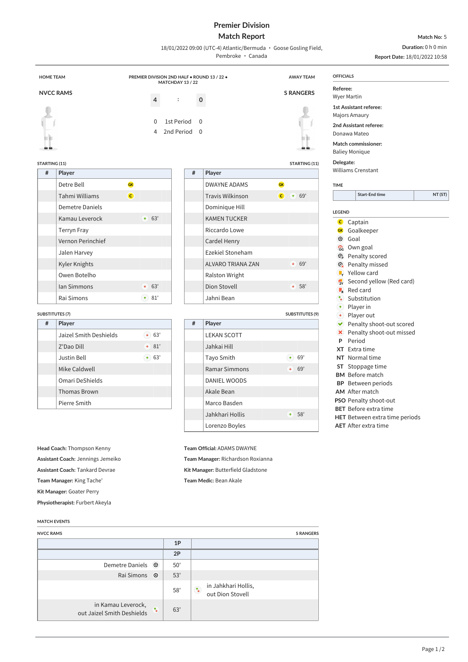# **Premier Division**

## **Match Report**

**Match No:** 5 **Duration:** 0 h 0 min

**Report Date:** 18/01/2022 10:58

| <b>HOME TEAM</b> |                   | PREMIER DIVISION 2ND HALF . ROUND 13 / 22 . | MATCHDAY 13 / 22                                       |                         | <b>AWAY TEAM</b>                       | <b>OFFICIALS</b>                                                         |  |
|------------------|-------------------|---------------------------------------------|--------------------------------------------------------|-------------------------|----------------------------------------|--------------------------------------------------------------------------|--|
|                  | <b>NVCC RAMS</b>  | 4                                           | $\mathbf 0$<br>$\ddot{\cdot}$                          |                         | <b>S RANGERS</b>                       | Referee:<br><b>Wyer Martin</b>                                           |  |
|                  |                   | $\Omega$<br>4                               | 1st Period<br>$\Omega$<br>2nd Period<br>$\overline{0}$ |                         |                                        | 1st Assistant referee:<br>Majors Amaury<br>2nd Assistant referee:        |  |
| h).<br><b>QQ</b> |                   |                                             |                                                        |                         | Шb<br><b>QQ</b>                        | Donawa Mateo<br>Match commissioner:<br><b>Baliey Monique</b>             |  |
|                  | STARTING (11)     |                                             |                                                        |                         | <b>STARTING (11)</b>                   | Delegate:                                                                |  |
|                  |                   |                                             |                                                        |                         |                                        |                                                                          |  |
| #                | Player            |                                             | #                                                      | Player                  |                                        | <b>Williams Crenstant</b>                                                |  |
|                  | Detre Bell        | <b>GK</b>                                   |                                                        | <b>DWAYNE ADAMS</b>     | <b>GK</b>                              | <b>TIME</b>                                                              |  |
|                  | Tahmi Williams    | $\overline{c}$                              |                                                        | <b>Travis Wilkinson</b> | $\overline{c}$<br>69'<br>$\rightarrow$ |                                                                          |  |
|                  | Demetre Daniels   |                                             |                                                        | Dominique Hill          |                                        |                                                                          |  |
|                  | Kamau Leverock    | 63'<br>$\uparrow$                           |                                                        | <b>KAMEN TUCKER</b>     |                                        | <b>LEGEND</b>                                                            |  |
|                  | Terryn Fray       |                                             |                                                        | Riccardo Lowe           |                                        | $\mathbf{C}$<br>Captain<br>Goalkeeper<br><b>GK</b>                       |  |
|                  | Vernon Perinchief |                                             |                                                        | Cardel Henry            |                                        | $\odot$<br>Goal                                                          |  |
|                  | Jalen Harvey      |                                             |                                                        | Ezekiel Stoneham        |                                        | <b>Start-End time</b><br>Own goal<br>ි<br>Penalty scored<br>$\mathbf{G}$ |  |

Ralston Wright

Jahni Bean

Dion Stovell **68'** 

**SUBSTITUTES (9)**

| π | гіаусі             |              |    |     |  |
|---|--------------------|--------------|----|-----|--|
|   | Detre Bell         | <b>GK</b>    |    |     |  |
|   | Tahmi Williams     | $\mathsf{C}$ |    |     |  |
|   | Demetre Daniels    |              |    |     |  |
|   | Kamau Leverock     |              | ٠  | 63' |  |
|   | <b>Terryn Fray</b> |              |    |     |  |
|   | Vernon Perinchief  |              |    |     |  |
|   | Jalen Harvey       |              |    |     |  |
|   | Kyler Knights      |              |    |     |  |
|   | Owen Botelho       |              |    |     |  |
|   | <b>Ian Simmons</b> |              | ¢. | 63' |  |
|   | Rai Simons         |              |    | 81' |  |

### **SUBSTITUTES (7)**

| # | Player                 |          |  |  |  |
|---|------------------------|----------|--|--|--|
|   | Jaizel Smith Deshields | 63'<br>÷ |  |  |  |
|   | Z'Dao Dill             | 81'<br>÷ |  |  |  |
|   | Justin Bell            | 63'<br>٠ |  |  |  |
|   | Mike Caldwell          |          |  |  |  |
|   | Omari DeShields        |          |  |  |  |
|   | <b>Thomas Brown</b>    |          |  |  |  |
|   | Pierre Smith           |          |  |  |  |
|   |                        |          |  |  |  |

**Head Coach:** Thompson Kenny **Assistant Coach:** Jennings Jemeiko **Assistant Coach:** Tankard Devrae **Team Manager:** King Tache' **Kit Manager:** Goater Perry

**Physiotherapist:** Furbert Akeyla

### **MATCH EVENTS**

| <b>NVCC RAMS</b>                                 |              |     | <b>S RANGERS</b>                                                                 |
|--------------------------------------------------|--------------|-----|----------------------------------------------------------------------------------|
|                                                  |              | 1P  |                                                                                  |
|                                                  |              | 2P  |                                                                                  |
| Demetre Daniels                                  | $\odot$      | 50' |                                                                                  |
| Rai Simons                                       | $\odot$      | 53' |                                                                                  |
|                                                  |              | 58' | in Jahkhari Hollis,<br>$\overline{\mathcal{A}}_{\downarrow}$<br>out Dion Stovell |
| in Kamau Leverock,<br>out Jaizel Smith Deshields | $T_{\rm{L}}$ | 63' |                                                                                  |

| Delegate:     |         |                           |         |
|---------------|---------|---------------------------|---------|
|               |         | <b>Williams Crenstant</b> |         |
| <b>TIME</b>   |         |                           |         |
|               |         | <b>Start-End time</b>     | NT (ST) |
|               |         |                           |         |
| <b>LEGEND</b> |         |                           |         |
| $\mathsf{C}$  | Captain |                           |         |
| <b>GK</b>     |         | Goalkeeper                |         |
| $\epsilon$    | Goal    |                           |         |

- 
- 
- 
- 
- $\bigodot$  Player in
- 
- Penalty shoot-out scored
- **X** Penalty shoot-out missed
- **P** Period
- **XT** Extra time
- **NT** Normal time
- **ST** Stoppage time
- **BM** Before match
- **BP** Between periods
- **AM** After match
- **PSO** Penalty shoot-out
- **BET** Before extra time
- **HET** Between extra time periods
- 
- $\mathbb{Q}$  Penalty missed
- $\blacktriangleright$  Yellow card
- $\frac{1}{2}$  Second yellow (Red card)
- Red card
- $\overline{\mathbf{B}}$  Substitution
- 
- ◆ Player out
- 
- 
- 
- 
- 
- 
- 

- 
- 
- 
- **AET** After extra time

18/01/2022 09:00 (UTC-4) Atlantic/Bermuda · Goose Gosling Field,

Pembroke · Canada

**# Player** LEKAN SCOTT Jahkai Hill Tayo Smith  $\bullet$  69' Ramar Simmons  $\bullet$  69' DANIEL WOODS Akale Bean Marco Basden Jahkhari Hollis **1988** Lorenzo Boyles **Team Official:** ADAMS DWAYNE

**Team Manager:** Richardson Roxianna **Kit Manager:** Butterfield Gladstone

**Team Medic:** Bean Akale